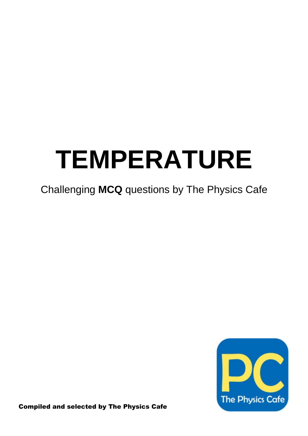## **TEMPERATURE**

### Challenging **MCQ** questions by The Physics Cafe



Compiled and selected by The Physics Cafe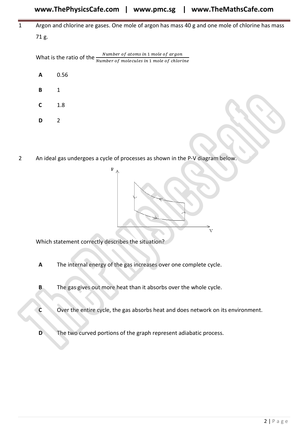#### 1 Argon and chlorine are gases. One mole of argon has mass 40 g and one mole of chlorine has mass 71 g.

What is the ratio of the <u>Number of atoms in 1 mole of argon</u><br>Number of molecules in 1 mole of chlorine

| А | 0.56 |  |  |
|---|------|--|--|
| в | 1    |  |  |

**C** 1.8

- **D** 2
- 2 An ideal gas undergoes a cycle of processes as shown in the P-V diagram below.



Which statement correctly describes the situation?

- **A** The internal energy of the gas increases over one complete cycle.
- **B** The gas gives out more heat than it absorbs over the whole cycle.
- **C** Over the entire cycle, the gas absorbs heat and does network on its environment.
- **D** The two curved portions of the graph represent adiabatic process.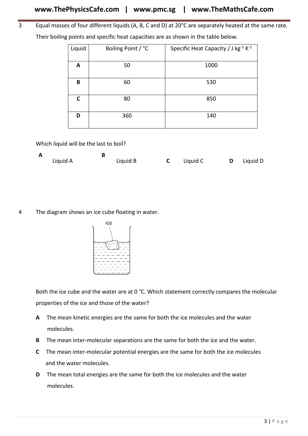3 Equal masses of four different liquids (A, B, C and D) at 20°C are separately heated at the same rate. Their boiling points and specific heat capacities are as shown in the table below.

| Liquid | Boiling Point / °C | Specific Heat Capacity / J kg <sup>-1</sup> K <sup>-1</sup> |
|--------|--------------------|-------------------------------------------------------------|
| A      | 50                 | 1000                                                        |
| B      | 60                 | 530                                                         |
| C      | 80                 | 850                                                         |
| D      | 360                | 140                                                         |

Which liquid will be the last to boil?

| A |          |          |          |                   |
|---|----------|----------|----------|-------------------|
|   | Liquid A | Liquid B | Liquid C | <b>D</b> Liquid D |

4 The diagram shows an ice cube floating in water.



Both the ice cube and the water are at 0 °C. Which statement correctly compares the molecular properties of the ice and those of the water?

- **A** The mean kinetic energies are the same for both the ice molecules and the water molecules.
- **B** The mean inter-molecular separations are the same for both the ice and the water.
- **C** The mean inter-molecular potential energies are the same for both the ice molecules and the water molecules.
- **D** The mean total energies are the same for both the ice molecules and the water molecules.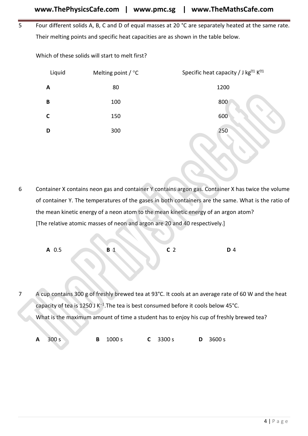5 Four different solids A, B, C and D of equal masses at 20 °C are separately heated at the same rate. Their melting points and specific heat capacities are as shown in the table below.

Which of these solids will start to melt first?

|                | Liquid      | Melting point $/$ °C                                                                             |                | Specific heat capacity / J kg <sup>[21</sup> K <sup>[21</sup> ]                                      |
|----------------|-------------|--------------------------------------------------------------------------------------------------|----------------|------------------------------------------------------------------------------------------------------|
|                | A           | 80                                                                                               |                | 1200                                                                                                 |
|                | $\pmb B$    | 100                                                                                              |                | 800                                                                                                  |
|                | $\mathbf C$ | 150                                                                                              |                | 600                                                                                                  |
|                | D           | 300                                                                                              |                | 250                                                                                                  |
|                |             |                                                                                                  |                |                                                                                                      |
|                |             |                                                                                                  |                |                                                                                                      |
|                |             |                                                                                                  |                |                                                                                                      |
| 6              |             |                                                                                                  |                | Container X contains neon gas and container Y contains argon gas. Container X has twice the volume   |
|                |             |                                                                                                  |                | of container Y. The temperatures of the gases in both containers are the same. What is the ratio of  |
|                |             | the mean kinetic energy of a neon atom to the mean kinetic energy of an argon atom?              |                |                                                                                                      |
|                |             | [The relative atomic masses of neon and argon are 20 and 40 respectively.]                       |                |                                                                                                      |
|                |             |                                                                                                  |                |                                                                                                      |
|                | A 0.5       | R                                                                                                | C <sub>2</sub> | D 4                                                                                                  |
|                |             |                                                                                                  |                |                                                                                                      |
|                |             |                                                                                                  |                |                                                                                                      |
| $\overline{7}$ |             |                                                                                                  |                | A cup contains 300 g of freshly brewed tea at 93°C. It cools at an average rate of 60 W and the heat |
|                |             | capacity of tea is 1250 J K <sup>-1</sup> . The tea is best consumed before it cools below 45°C. |                |                                                                                                      |
|                |             | What is the maximum amount of time a student has to enjoy his cup of freshly brewed tea?         |                |                                                                                                      |
|                |             |                                                                                                  |                |                                                                                                      |
|                | 300 s<br>A  | 1000 s<br>B<br>C                                                                                 | 3300 s<br>D    | 3600 s                                                                                               |
|                |             |                                                                                                  |                |                                                                                                      |

| A 0.5 | <b>B</b> 1 |  | 4 |
|-------|------------|--|---|
|       |            |  |   |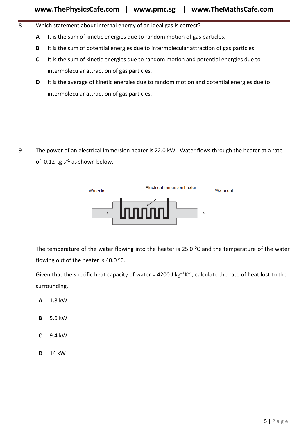- 8 Which statement about internal energy of an ideal gas is correct?
	- **A** It is the sum of kinetic energies due to random motion of gas particles.
	- **B** It is the sum of potential energies due to intermolecular attraction of gas particles.
	- **C** It is the sum of kinetic energies due to random motion and potential energies due to intermolecular attraction of gas particles.
	- **D** It is the average of kinetic energies due to random motion and potential energies due to intermolecular attraction of gas particles.

9 The power of an electrical immersion heater is 22.0 kW. Water flows through the heater at a rate of 0.12 kg  $s^{-1}$  as shown below.



The temperature of the water flowing into the heater is 25.0  $\degree$ C and the temperature of the water flowing out of the heater is 40.0  $^{\circ}$ C.

Given that the specific heat capacity of water = 4200 J  $kg^{-1}K^{-1}$ , calculate the rate of heat lost to the surrounding.

- **A** 1.8 kW
- **B** 5.6 kW
- **C** 9.4 kW
- **D** 14 kW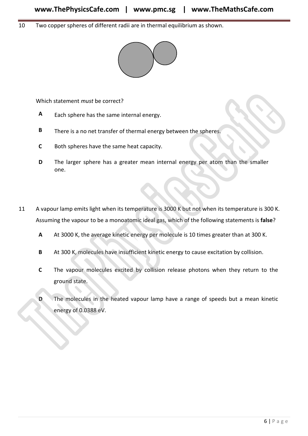10 Two copper spheres of different radii are in thermal equilibrium as shown.



Which statement *must* be correct?

- **A** Each sphere has the same internal energy.
- **B** There is a no net transfer of thermal energy between the spheres.
- **C** Both spheres have the same heat capacity.
- **D** The larger sphere has a greater mean internal energy per atom than the smaller one.
- 11 A vapour lamp emits light when its temperature is 3000 K but not when its temperature is 300 K. Assuming the vapour to be a monoatomic ideal gas, which of the following statements is **false**? Which statement must be correct?<br>
A Each sphere has the same internal energy.<br>
B There is a no net transfer of thermal energy between the spheres.<br>
C Both spheres have the same heat capacity.<br>
D The larger sphere has a gre
	- **A** At 3000 K, the average kinetic energy per molecule is 10 times greater than at 300 K.
	- **B** At 300 K, molecules have insufficient kinetic energy to cause excitation by collision.
	- **C** The vapour molecules excited by collision release photons when they return to the ground state.
	- **D** The molecules in the heated vapour lamp have a range of speeds but a mean kinetic energy of 0.0388 eV.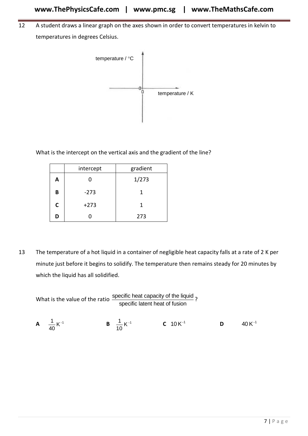12 A student draws a linear graph on the axes shown in order to convert temperatures in kelvin to temperatures in degrees Celsius.



What is the intercept on the vertical axis and the gradient of the line?

|   | intercept | gradient |
|---|-----------|----------|
| А | 0         | 1/273    |
| B | $-273$    | 1        |
| C | $+273$    | 1        |
| D |           | 273      |

13 The temperature of a hot liquid in a container of negligible heat capacity falls at a rate of 2 K per minute just before it begins to solidify. The temperature then remains steady for 20 minutes by which the liquid has all solidified.

What is the value of the ratio specific heat capacity of the liquid ?<br>specific latent heat of fusion **A**  $\frac{1}{10}$  K<sup>-1</sup> 40 **B**  $\frac{1}{10}$  K<sup>-1</sup>  $\frac{1}{10}$  K<sup>-1</sup> **C** 10 K<sup>-1</sup> **D**  $40$  K $^{-1}$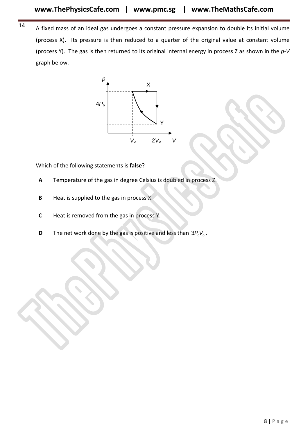14 A fixed mass of an ideal gas undergoes a constant pressure expansion to double its initial volume (process X). Its pressure is then reduced to a quarter of the original value at constant volume (process Y). The gas is then returned to its original internal energy in process Z as shown in the *p-V* graph below.



Which of the following statements is **false**?

- **A** Temperature of the gas in degree Celsius is doubled in process Z.
- **B** Heat is supplied to the gas in process X.
- **C** Heat is removed from the gas in process Y.
- **D** The net work done by the gas is positive and less than  $3P_0V_0$ .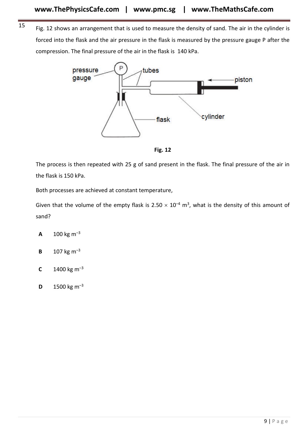<sup>15</sup> Fig. 12 shows an arrangement that is used to measure the density of sand. The air in the cylinder is forced into the flask and the air pressure in the flask is measured by the pressure gauge P after the compression. The final pressure of the air in the flask is 140 kPa.



**Fig. 12**

The process is then repeated with 25 g of sand present in the flask. The final pressure of the air in the flask is 150 kPa.

Both processes are achieved at constant temperature,

Given that the volume of the empty flask is 2.50  $\times$  10<sup>-4</sup> m<sup>3</sup>, what is the density of this amount of sand?

- **A** 100 kg  $m^{-3}$
- **B** 107 kg  $m^{-3}$
- **C** 1400 kg  $m^{-3}$
- **D** 1500 kg  $m^{-3}$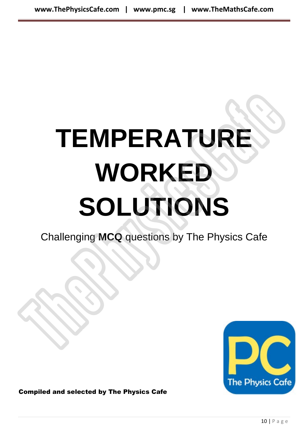# **TEMPERATURE WORKED SOLUTIONS** TEMPERATURE<br>
WORKED<br>
SOLUTIONS<br>
Challenging MCQ questions by The Physics Cafe

Challenging **MCQ** questions by The Physics Cafe



Compiled and selected by The Physics Cafe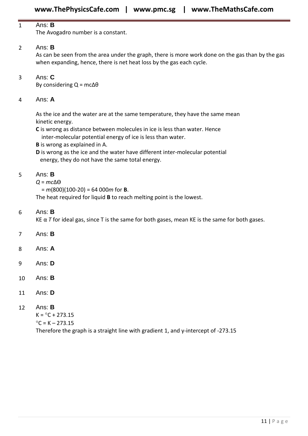#### 1 Ans: **B**

The Avogadro number is a constant.

#### 2 Ans: **B**

As can be seen from the area under the graph, there is more work done on the gas than by the gas when expanding, hence, there is net heat loss by the gas each cycle.

3 Ans: **C**

By considering  $Q = mc\Delta\theta$ 

#### 4 Ans: **A**

As the ice and the water are at the same temperature, they have the same mean kinetic energy.

**C** is wrong as distance between molecules in ice is less than water. Hence

inter-molecular potential energy of ice is less than water.

**B** is wrong as explained in A.

**D** is wrong as the ice and the water have different inter-molecular potential energy, they do not have the same total energy.

#### 5 Ans: **B**

#### *Q* = *mc*ΔƟ

= *m*(800)(100-20) = 64 000*m* for **B**.

The heat required for liquid **B** to reach melting point is the lowest.

#### 6 Ans: **B**

KE  $\alpha$  T for ideal gas, since T is the same for both gases, mean KE is the same for both gases.

- 7 Ans: **B**
- 8 Ans: **A**
- 9 Ans: **D**
- 10 Ans: **B**
- 11 Ans: **D**

#### 12 Ans: **B**

 $K = °C + 273.15$  $^{\circ}$ C = K – 273.15

Therefore the graph is a straight line with gradient 1, and y-intercept of -273.15